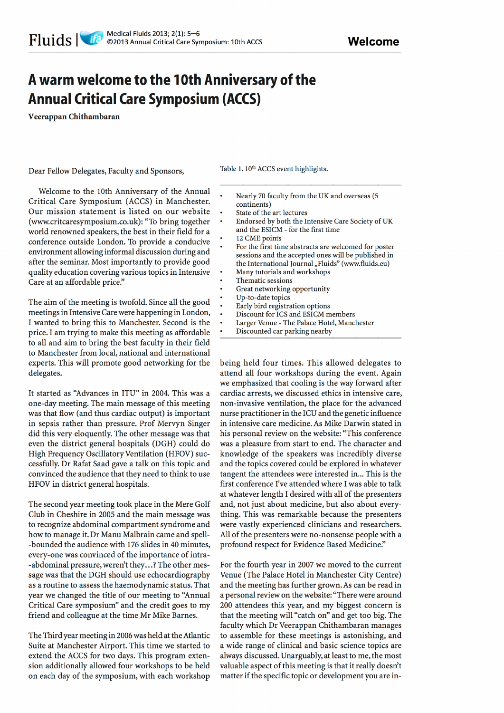## A warm welcome to the 10th Anniversary of the **Annual Critical Care Symposium (ACCS)**

Veerappan Chithambaran

Dear Fellow Delegates, Faculty and Sponsors,

Table 1.10<sup>th</sup> ACCS event highlights.

- Nearly 70 faculty from the UK and overseas (5 continents)
	- State of the art lectures
	- Endorsed by both the Intensive Care Society of UK and the ESICM - for the first time
	- 12 CME points
	- For the first time abstracts are welcomed for poster sessions and the accepted ones will be published in the International Journal "Fluids" (www.fluids.eu)
	- Many tutorials and workshops
	- Thematic sessions
	- Great networking opportunity
	- Up-to-date topics
	- Early bird registration options
	- Discount for ICS and ESICM members
	- Larger Venue The Palace Hotel, Manchester
	- Discounted car parking nearby

Welcome to the 10th Anniversary of the Annual Critical Care Symposium (ACCS) in Manchester. Our mission statement is listed on our website (www.critcaresymposium.co.uk): "To bring together world renowned speakers, the best in their field for a conference outside London. To provide a conducive environment allowing informal discussion during and after the seminar. Most importantly to provide good quality education covering various topics in Intensive Care at an affordable price."

The aim of the meeting is twofold. Since all the good meetings in Intensive Care were happening in London, I wanted to bring this to Manchester. Second is the price. I am trying to make this meeting as affordable to all and aim to bring the best faculty in their field to Manchester from local, national and international experts. This will promote good networking for the delegates.

It started as "Advances in ITU" in 2004. This was a one-day meeting. The main message of this meeting was that flow (and thus cardiac output) is important in sepsis rather than pressure. Prof Mervyn Singer did this very eloquently. The other message was that even the district general hospitals (DGH) could do High Frequency Oscillatory Ventilation (HFOV) successfully. Dr Rafat Saad gave a talk on this topic and convinced the audience that they need to think to use HFOV in district general hospitals.

The second year meeting took place in the Mere Golf Club in Cheshire in 2005 and the main message was to recognize abdominal compartment syndrome and how to manage it. Dr Manu Malbrain came and spell--bounded the audience with 176 slides in 40 minutes, every-one was convinced of the importance of intra--abdominal pressure, weren't they...? The other message was that the DGH should use echocardiography as a routine to assess the haemodynamic status. That year we changed the title of our meeting to "Annual Critical Care symposium" and the credit goes to my friend and colleague at the time Mr Mike Barnes.

The Third year meeting in 2006 was held at the Atlantic Suite at Manchester Airport. This time we started to extend the ACCS for two days. This program extension additionally allowed four workshops to be held on each day of the symposium, with each workshop

being held four times. This allowed delegates to attend all four workshops during the event. Again we emphasized that cooling is the way forward after cardiac arrests, we discussed ethics in intensive care, non-invasive ventilation, the place for the advanced nurse practitioner in the ICU and the genetic influence in intensive care medicine. As Mike Darwin stated in his personal review on the website: "This conference was a pleasure from start to end. The character and knowledge of the speakers was incredibly diverse and the topics covered could be explored in whatever tangent the attendees were interested in... This is the first conference I've attended where I was able to talk at whatever length I desired with all of the presenters and, not just about medicine, but also about everything. This was remarkable because the presenters were vastly experienced clinicians and researchers. All of the presenters were no-nonsense people with a profound respect for Evidence Based Medicine."

For the fourth year in 2007 we moved to the current Venue (The Palace Hotel in Manchester City Centre) and the meeting has further grown. As can be read in a personal review on the website: "There were around 200 attendees this year, and my biggest concern is that the meeting will "catch on" and get too big. The faculty which Dr Veerappan Chithambaran manages to assemble for these meetings is astonishing, and a wide range of clinical and basic science topics are always discussed. Unarguably, at least to me, the most valuable aspect of this meeting is that it really doesn't matter if the specific topic or development you are in-